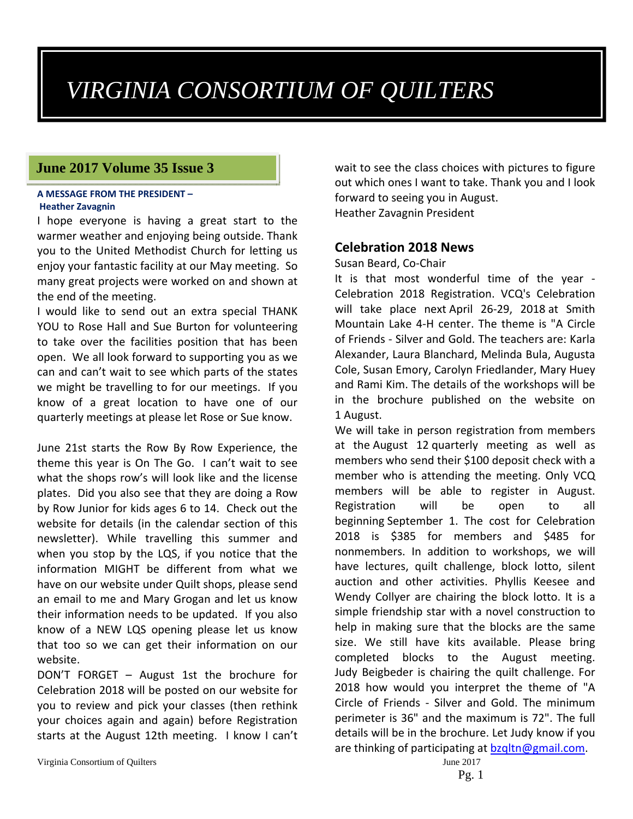# *VIRGINIA CONSORTIUM OF QUILTERS*

## **June 2017 Volume 35 Issue 3**

#### **A MESSAGE FROM THE PRESIDENT – Heather Zavagnin**

I hope everyone is having a great start to the warmer weather and enjoying being outside. Thank you to the United Methodist Church for letting us enjoy your fantastic facility at our May meeting. So many great projects were worked on and shown at the end of the meeting.

I would like to send out an extra special THANK YOU to Rose Hall and Sue Burton for volunteering to take over the facilities position that has been open. We all look forward to supporting you as we can and can't wait to see which parts of the states we might be travelling to for our meetings. If you know of a great location to have one of our quarterly meetings at please let Rose or Sue know.

June 21st starts the Row By Row Experience, the theme this year is On The Go. I can't wait to see what the shops row's will look like and the license plates. Did you also see that they are doing a Row by Row Junior for kids ages 6 to 14. Check out the website for details (in the calendar section of this newsletter). While travelling this summer and when you stop by the LQS, if you notice that the information MIGHT be different from what we have on our website under Quilt shops, please send an email to me and Mary Grogan and let us know their information needs to be updated. If you also know of a NEW LQS opening please let us know that too so we can get their information on our website.

DON'T FORGET – August 1st the brochure for Celebration 2018 will be posted on our website for you to review and pick your classes (then rethink your choices again and again) before Registration starts at the August 12th meeting. I know I can't

Virginia Consortium of Quilters June 2017

wait to see the class choices with pictures to figure out which ones I want to take. Thank you and I look forward to seeing you in August. Heather Zavagnin President

## **Celebration 2018 News**

#### Susan Beard, Co‐Chair

It is that most wonderful time of the year -Celebration 2018 Registration. VCQ's Celebration will take place next April 26‐29, 2018 at Smith Mountain Lake 4‐H center. The theme is "A Circle of Friends ‐ Silver and Gold. The teachers are: Karla Alexander, Laura Blanchard, Melinda Bula, Augusta Cole, Susan Emory, Carolyn Friedlander, Mary Huey and Rami Kim. The details of the workshops will be in the brochure published on the website on 1 August.

We will take in person registration from members at the August 12 quarterly meeting as well as members who send their \$100 deposit check with a member who is attending the meeting. Only VCQ members will be able to register in August. Registration will be open to all beginning September 1. The cost for Celebration 2018 is \$385 for members and \$485 for nonmembers. In addition to workshops, we will have lectures, quilt challenge, block lotto, silent auction and other activities. Phyllis Keesee and Wendy Collyer are chairing the block lotto. It is a simple friendship star with a novel construction to help in making sure that the blocks are the same size. We still have kits available. Please bring completed blocks to the August meeting. Judy Beigbeder is chairing the quilt challenge. For 2018 how would you interpret the theme of "A Circle of Friends - Silver and Gold. The minimum perimeter is 36" and the maximum is 72". The full details will be in the brochure. Let Judy know if you are thinking of participating at bzgltn@gmail.com.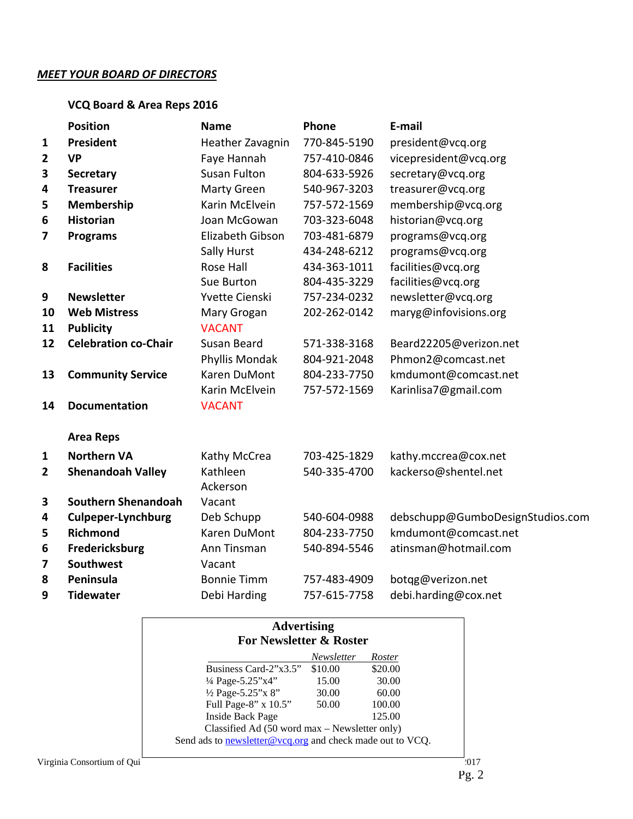#### *MEET YOUR BOARD OF DIRECTORS*

## **VCQ Board & Area Reps 2016**

|                | <b>Position</b>             | <b>Name</b>         | Phone        | E-mail                           |
|----------------|-----------------------------|---------------------|--------------|----------------------------------|
| $\mathbf{1}$   | <b>President</b>            | Heather Zavagnin    | 770-845-5190 | president@vcq.org                |
| $\overline{2}$ | <b>VP</b>                   | Faye Hannah         | 757-410-0846 | vicepresident@vcq.org            |
| 3              | <b>Secretary</b>            | <b>Susan Fulton</b> | 804-633-5926 | secretary@vcq.org                |
| 4              | <b>Treasurer</b>            | Marty Green         | 540-967-3203 | treasurer@vcq.org                |
| 5              | Membership                  | Karin McElvein      | 757-572-1569 | membership@vcq.org               |
| 6              | <b>Historian</b>            | Joan McGowan        | 703-323-6048 | historian@vcq.org                |
| 7              | <b>Programs</b>             | Elizabeth Gibson    | 703-481-6879 | programs@vcq.org                 |
|                |                             | Sally Hurst         | 434-248-6212 | programs@vcq.org                 |
| 8              | <b>Facilities</b>           | Rose Hall           | 434-363-1011 | facilities@vcq.org               |
|                |                             | Sue Burton          | 804-435-3229 | facilities@vcq.org               |
| 9              | <b>Newsletter</b>           | Yvette Cienski      | 757-234-0232 | newsletter@vcq.org               |
| 10             | <b>Web Mistress</b>         | Mary Grogan         | 202-262-0142 | maryg@infovisions.org            |
| 11             | <b>Publicity</b>            | <b>VACANT</b>       |              |                                  |
| 12             | <b>Celebration co-Chair</b> | Susan Beard         | 571-338-3168 | Beard22205@verizon.net           |
|                |                             | Phyllis Mondak      | 804-921-2048 | Phmon2@comcast.net               |
| 13             | <b>Community Service</b>    | Karen DuMont        | 804-233-7750 | kmdumont@comcast.net             |
|                |                             | Karin McElvein      | 757-572-1569 | Karinlisa7@gmail.com             |
| 14             | <b>Documentation</b>        | <b>VACANT</b>       |              |                                  |
|                | <b>Area Reps</b>            |                     |              |                                  |
| $\mathbf{1}$   | <b>Northern VA</b>          | Kathy McCrea        | 703-425-1829 | kathy.mccrea@cox.net             |
| $\overline{2}$ | <b>Shenandoah Valley</b>    | Kathleen            | 540-335-4700 | kackerso@shentel.net             |
|                |                             | Ackerson            |              |                                  |
| 3              | <b>Southern Shenandoah</b>  | Vacant              |              |                                  |
| 4              | <b>Culpeper-Lynchburg</b>   | Deb Schupp          | 540-604-0988 | debschupp@GumboDesignStudios.com |
| 5              | <b>Richmond</b>             | <b>Karen DuMont</b> | 804-233-7750 | kmdumont@comcast.net             |
| 6              | Fredericksburg              | Ann Tinsman         | 540-894-5546 | atinsman@hotmail.com             |
| 7              | Southwest                   | Vacant              |              |                                  |
| 8              | Peninsula                   | <b>Bonnie Timm</b>  | 757-483-4909 | botqg@verizon.net                |
| 9              | <b>Tidewater</b>            | Debi Harding        | 757-615-7758 | debi.harding@cox.net             |

| <b>Advertising</b><br><b>For Newsletter &amp; Roster</b>         |            |         |
|------------------------------------------------------------------|------------|---------|
|                                                                  | Newsletter | Roster  |
| Business Card-2"x3.5"                                            | \$10.00    | \$20.00 |
| $\frac{1}{4}$ Page-5.25"x4"                                      | 15.00      | 30.00   |
| 1/2 Page-5.25"x 8"                                               | 30.00      | 60.00   |
| Full Page-8" x 10.5"                                             | 50.00      | 100.00  |
| Inside Back Page                                                 |            | 125.00  |
| Classified Ad $(50 \text{ word } max -$ Newsletter only)         |            |         |
| Send ads to <b>newsletter@vcq.org</b> and check made out to VCQ. |            |         |

$$
Pg. 2
$$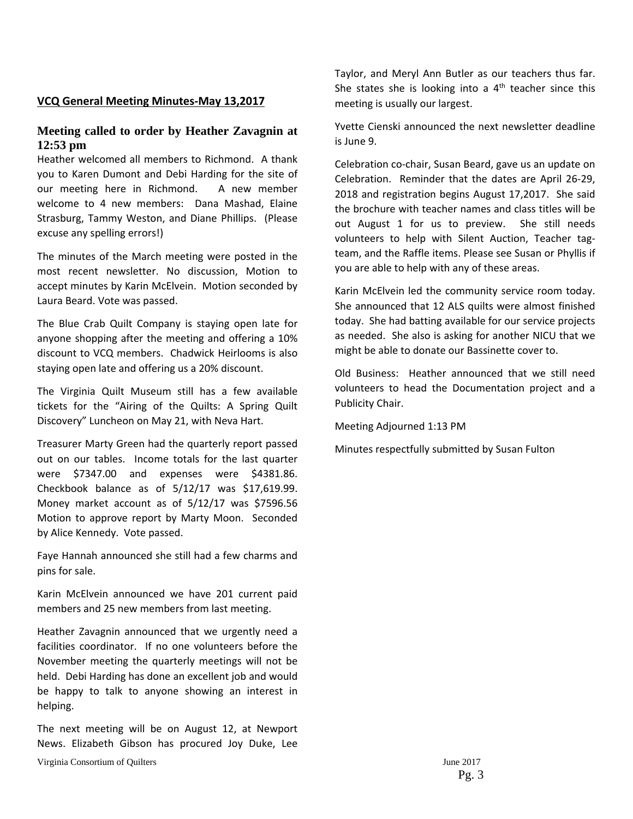## **VCQ General Meeting Minutes‐May 13,2017**

#### **Meeting called to order by Heather Zavagnin at 12:53 pm**

Heather welcomed all members to Richmond. A thank you to Karen Dumont and Debi Harding for the site of our meeting here in Richmond. A new member welcome to 4 new members: Dana Mashad, Elaine Strasburg, Tammy Weston, and Diane Phillips. (Please excuse any spelling errors!)

The minutes of the March meeting were posted in the most recent newsletter. No discussion, Motion to accept minutes by Karin McElvein. Motion seconded by Laura Beard. Vote was passed.

The Blue Crab Quilt Company is staying open late for anyone shopping after the meeting and offering a 10% discount to VCQ members. Chadwick Heirlooms is also staying open late and offering us a 20% discount.

The Virginia Quilt Museum still has a few available tickets for the "Airing of the Quilts: A Spring Quilt Discovery" Luncheon on May 21, with Neva Hart.

Treasurer Marty Green had the quarterly report passed out on our tables. Income totals for the last quarter were \$7347.00 and expenses were \$4381.86. Checkbook balance as of 5/12/17 was \$17,619.99. Money market account as of 5/12/17 was \$7596.56 Motion to approve report by Marty Moon. Seconded by Alice Kennedy. Vote passed.

Faye Hannah announced she still had a few charms and pins for sale.

Karin McElvein announced we have 201 current paid members and 25 new members from last meeting.

Heather Zavagnin announced that we urgently need a facilities coordinator. If no one volunteers before the November meeting the quarterly meetings will not be held. Debi Harding has done an excellent job and would be happy to talk to anyone showing an interest in helping.

The next meeting will be on August 12, at Newport News. Elizabeth Gibson has procured Joy Duke, Lee

Virginia Consortium of Quilters June 2017

Taylor, and Meryl Ann Butler as our teachers thus far. She states she is looking into a  $4<sup>th</sup>$  teacher since this meeting is usually our largest.

Yvette Cienski announced the next newsletter deadline is June 9.

Celebration co‐chair, Susan Beard, gave us an update on Celebration. Reminder that the dates are April 26‐29, 2018 and registration begins August 17,2017. She said the brochure with teacher names and class titles will be out August 1 for us to preview. She still needs volunteers to help with Silent Auction, Teacher tag‐ team, and the Raffle items. Please see Susan or Phyllis if you are able to help with any of these areas.

Karin McElvein led the community service room today. She announced that 12 ALS quilts were almost finished today. She had batting available for our service projects as needed. She also is asking for another NICU that we might be able to donate our Bassinette cover to.

Old Business: Heather announced that we still need volunteers to head the Documentation project and a Publicity Chair.

Meeting Adjourned 1:13 PM

Minutes respectfully submitted by Susan Fulton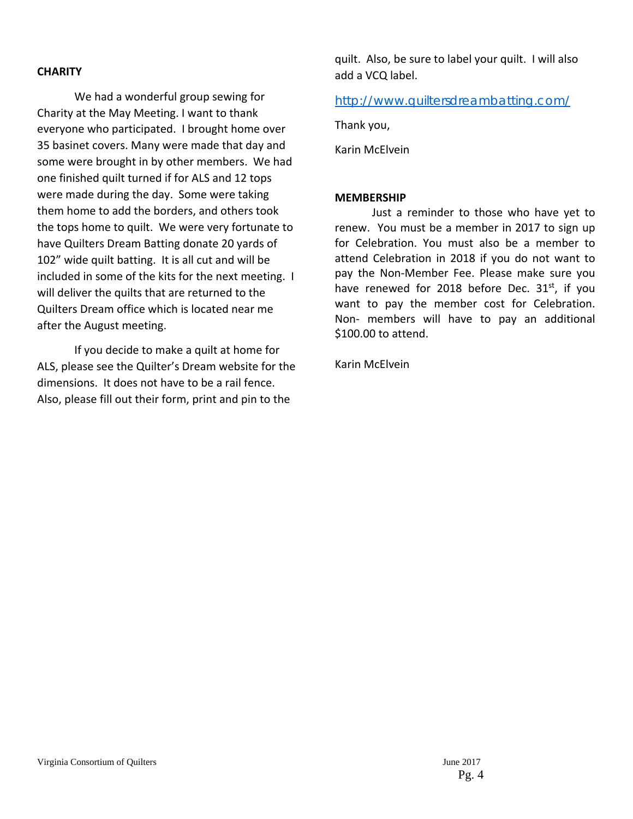#### **CHARITY**

We had a wonderful group sewing for Charity at the May Meeting. I want to thank everyone who participated. I brought home over 35 basinet covers. Many were made that day and some were brought in by other members. We had one finished quilt turned if for ALS and 12 tops were made during the day. Some were taking them home to add the borders, and others took the tops home to quilt. We were very fortunate to have Quilters Dream Batting donate 20 yards of 102" wide quilt batting. It is all cut and will be included in some of the kits for the next meeting. I will deliver the quilts that are returned to the Quilters Dream office which is located near me after the August meeting.

If you decide to make a quilt at home for ALS, please see the Quilter's Dream website for the dimensions. It does not have to be a rail fence. Also, please fill out their form, print and pin to the

quilt. Also, be sure to label your quilt. I will also add a VCQ label.

#### http://www.quiltersdreambatting.com/

Thank you,

Karin McElvein

#### **MEMBERSHIP**

Just a reminder to those who have yet to renew. You must be a member in 2017 to sign up for Celebration. You must also be a member to attend Celebration in 2018 if you do not want to pay the Non‐Member Fee. Please make sure you have renewed for 2018 before Dec.  $31<sup>st</sup>$ , if you want to pay the member cost for Celebration. Non‐ members will have to pay an additional \$100.00 to attend.

Karin McElvein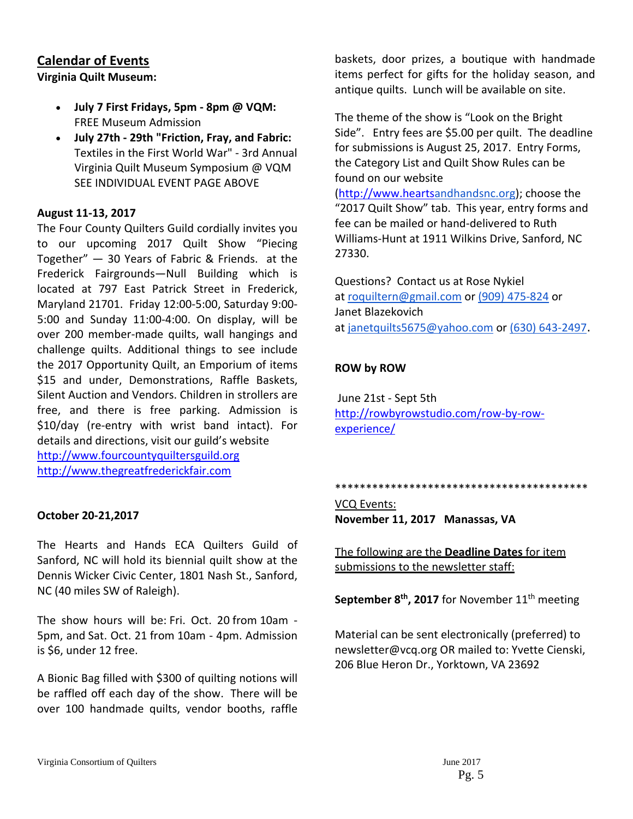## **Calendar of Events**

**Virginia Quilt Museum:** 

- **July 7 First Fridays, 5pm ‐ 8pm @ VQM:** FREE Museum Admission
- **July 27th ‐ 29th "Friction, Fray, and Fabric:** Textiles in the First World War" ‐ 3rd Annual Virginia Quilt Museum Symposium @ VQM SEE INDIVIDUAL EVENT PAGE ABOVE

#### **August 11‐13, 2017**

The Four County Quilters Guild cordially invites you to our upcoming 2017 Quilt Show "Piecing Together" — 30 Years of Fabric & Friends. at the Frederick Fairgrounds—Null Building which is located at 797 East Patrick Street in Frederick, Maryland 21701. Friday 12:00‐5:00, Saturday 9:00‐ 5:00 and Sunday 11:00‐4:00. On display, will be over 200 member‐made quilts, wall hangings and challenge quilts. Additional things to see include the 2017 Opportunity Quilt, an Emporium of items \$15 and under, Demonstrations, Raffle Baskets, Silent Auction and Vendors. Children in strollers are free, and there is free parking. Admission is \$10/day (re‐entry with wrist band intact). For details and directions, visit our guild's website http://www.fourcountyquiltersguild.org

http://www.thegreatfrederickfair.com

#### **October 20‐21,2017**

The Hearts and Hands ECA Quilters Guild of Sanford, NC will hold its biennial quilt show at the Dennis Wicker Civic Center, 1801 Nash St., Sanford, NC (40 miles SW of Raleigh).

The show hours will be: Fri. Oct. 20 from 10am ‐ 5pm, and Sat. Oct. 21 from 10am ‐ 4pm. Admission is \$6, under 12 free.

A Bionic Bag filled with \$300 of quilting notions will be raffled off each day of the show. There will be over 100 handmade quilts, vendor booths, raffle

baskets, door prizes, a boutique with handmade items perfect for gifts for the holiday season, and antique quilts. Lunch will be available on site.

The theme of the show is "Look on the Bright Side". Entry fees are \$5.00 per quilt. The deadline for submissions is August 25, 2017. Entry Forms, the Category List and Quilt Show Rules can be found on our website

(http://www.heartsandhandsnc.org); choose the "2017 Quilt Show" tab. This year, entry forms and fee can be mailed or hand‐delivered to Ruth Williams‐Hunt at 1911 Wilkins Drive, Sanford, NC 27330.

Questions? Contact us at Rose Nykiel at roquiltern@gmail.com or (909) 475‐824 or Janet Blazekovich at janetquilts5675@yahoo.com or (630) 643‐2497.

#### **ROW by ROW**

June 21st ‐ Sept 5th http://rowbyrowstudio.com/row‐by‐row‐ experience/

\*\*\*\*\*\*\*\*\*\*\*\*\*\*\*\*\*\*\*\*\*\*\*\*\*\*\*\*\*\*\*\*\*\*\*\*\*\*\*\*\*

VCQ Events: **November 11, 2017 Manassas, VA**

The following are the **Deadline Dates** for item submissions to the newsletter staff:

**September 8<sup>th</sup>, 2017** for November 11<sup>th</sup> meeting

Material can be sent electronically (preferred) to newsletter@vcq.org OR mailed to: Yvette Cienski, 206 Blue Heron Dr., Yorktown, VA 23692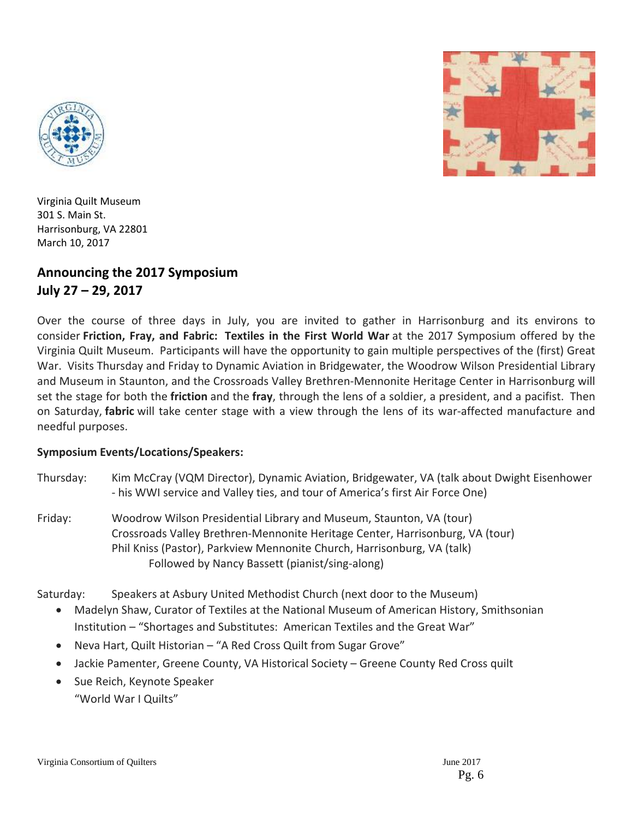



Virginia Quilt Museum 301 S. Main St. Harrisonburg, VA 22801 March 10, 2017

## **Announcing the 2017 Symposium July 27 – 29, 2017**

Over the course of three days in July, you are invited to gather in Harrisonburg and its environs to consider **Friction, Fray, and Fabric: Textiles in the First World War** at the 2017 Symposium offered by the Virginia Quilt Museum. Participants will have the opportunity to gain multiple perspectives of the (first) Great War. Visits Thursday and Friday to Dynamic Aviation in Bridgewater, the Woodrow Wilson Presidential Library and Museum in Staunton, and the Crossroads Valley Brethren-Mennonite Heritage Center in Harrisonburg will set the stage for both the **friction** and the **fray**, through the lens of a soldier, a president, and a pacifist. Then on Saturday, **fabric** will take center stage with a view through the lens of its war-affected manufacture and needful purposes.

## **Symposium Events/Locations/Speakers:**

- Thursday: Kim McCray (VQM Director), Dynamic Aviation, Bridgewater, VA (talk about Dwight Eisenhower ‐ his WWI service and Valley ties, and tour of America's first Air Force One)
- Friday: Woodrow Wilson Presidential Library and Museum, Staunton, VA (tour) Crossroads Valley Brethren‐Mennonite Heritage Center, Harrisonburg, VA (tour) Phil Kniss (Pastor), Parkview Mennonite Church, Harrisonburg, VA (talk) Followed by Nancy Bassett (pianist/sing‐along)

Saturday: Speakers at Asbury United Methodist Church (next door to the Museum)

- Madelyn Shaw, Curator of Textiles at the National Museum of American History, Smithsonian Institution – "Shortages and Substitutes: American Textiles and the Great War"
- Neva Hart, Quilt Historian "A Red Cross Quilt from Sugar Grove"
- Jackie Pamenter, Greene County, VA Historical Society Greene County Red Cross quilt
- Sue Reich, Keynote Speaker "World War I Quilts"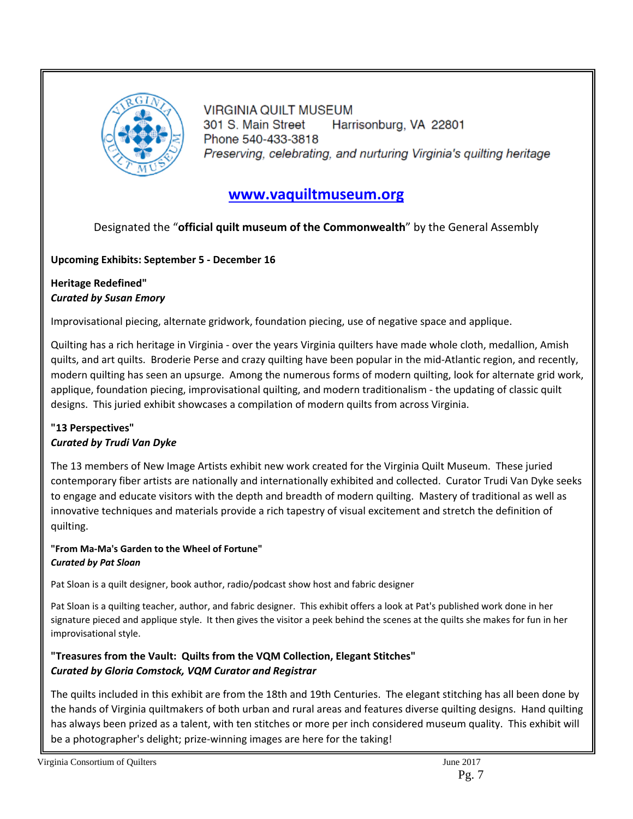

**VIRGINIA QUILT MUSEUM** 301 S. Main Street Harrisonburg, VA 22801 Phone 540-433-3818 Preserving, celebrating, and nurturing Virginia's quilting heritage

## **www.vaquiltmuseum.org**

## Designated the "**official quilt museum of the Commonwealth**" by the General Assembly

# **Upcoming Exhibits: September 5 ‐ December 16**

## **Heritage Redefined"** *Curated by Susan Emory*

Improvisational piecing, alternate gridwork, foundation piecing, use of negative space and applique.

Quilting has a rich heritage in Virginia ‐ over the years Virginia quilters have made whole cloth, medallion, Amish quilts, and art quilts. Broderie Perse and crazy quilting have been popular in the mid‐Atlantic region, and recently, modern quilting has seen an upsurge. Among the numerous forms of modern quilting, look for alternate grid work, applique, foundation piecing, improvisational quilting, and modern traditionalism ‐ the updating of classic quilt designs. This juried exhibit showcases a compilation of modern quilts from across Virginia.

## **"13 Perspectives"** *Curated by Trudi Van Dyke*

The 13 members of New Image Artists exhibit new work created for the Virginia Quilt Museum. These juried contemporary fiber artists are nationally and internationally exhibited and collected. Curator Trudi Van Dyke seeks to engage and educate visitors with the depth and breadth of modern quilting. Mastery of traditional as well as innovative techniques and materials provide a rich tapestry of visual excitement and stretch the definition of quilting.

#### **"From Ma‐Ma's Garden to the Wheel of Fortune"** *Curated by Pat Sloan*

Pat Sloan is a quilt designer, book author, radio/podcast show host and fabric designer

Pat Sloan is a quilting teacher, author, and fabric designer. This exhibit offers a look at Pat's published work done in her signature pieced and applique style. It then gives the visitor a peek behind the scenes at the quilts she makes for fun in her improvisational style.

## **"Treasures from the Vault: Quilts from the VQM Collection, Elegant Stitches"** *Curated by Gloria Comstock, VQM Curator and Registrar*

The quilts included in this exhibit are from the 18th and 19th Centuries. The elegant stitching has all been done by the hands of Virginia quiltmakers of both urban and rural areas and features diverse quilting designs. Hand quilting has always been prized as a talent, with ten stitches or more per inch considered museum quality. This exhibit will be a photographer's delight; prize-winning images are here for the taking!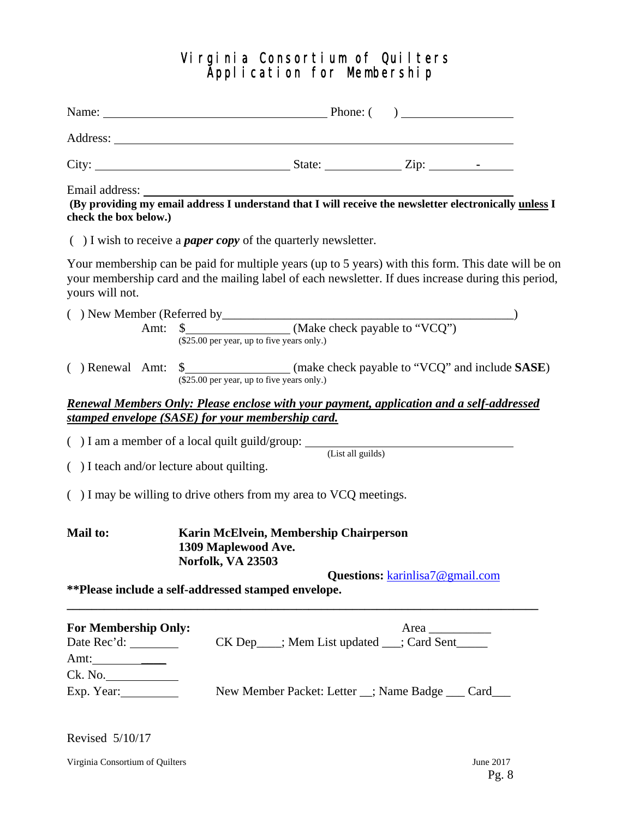## Virginia Consortium of Quilters Application for Membership

| Email address:<br>check the box below.)                  |                                              |                                                                          |                                                                        | (By providing my email address I understand that I will receive the newsletter electronically unless I                                                                                                     |
|----------------------------------------------------------|----------------------------------------------|--------------------------------------------------------------------------|------------------------------------------------------------------------|------------------------------------------------------------------------------------------------------------------------------------------------------------------------------------------------------------|
|                                                          |                                              | $( )$ I wish to receive a <i>paper copy</i> of the quarterly newsletter. |                                                                        |                                                                                                                                                                                                            |
| yours will not.                                          |                                              |                                                                          |                                                                        | Your membership can be paid for multiple years (up to 5 years) with this form. This date will be on<br>your membership card and the mailing label of each newsletter. If dues increase during this period, |
|                                                          |                                              |                                                                          |                                                                        |                                                                                                                                                                                                            |
|                                                          | $(\$25.00$ per year, up to five years only.) |                                                                          | Amt: \$ (Make check payable to "VCQ")                                  |                                                                                                                                                                                                            |
| ( ) Renewal Amt:                                         | $(\$25.00$ per year, up to five years only.) |                                                                          |                                                                        |                                                                                                                                                                                                            |
|                                                          |                                              |                                                                          |                                                                        | <b>Renewal Members Only: Please enclose with your payment, application and a self-addressed</b>                                                                                                            |
| <u>stamped envelope (SASE) for your membership card.</u> |                                              |                                                                          |                                                                        |                                                                                                                                                                                                            |
|                                                          |                                              |                                                                          | $( ) I$ am a member of a local quilt guild/group: $($ List all guilds) |                                                                                                                                                                                                            |
| $( )$ I teach and/or lecture about quilting.             |                                              |                                                                          |                                                                        |                                                                                                                                                                                                            |
|                                                          |                                              | $($ ) I may be willing to drive others from my area to VCQ meetings.     |                                                                        |                                                                                                                                                                                                            |
| Mail to:                                                 | 1309 Maplewood Ave.<br>Norfolk, VA 23503     | Karin McElvein, Membership Chairperson                                   |                                                                        |                                                                                                                                                                                                            |
|                                                          |                                              | **Please include a self-addressed stamped envelope.                      | Questions: karinlisa7@gmail.com                                        |                                                                                                                                                                                                            |
| <b>For Membership Only:</b>                              |                                              |                                                                          | Area                                                                   |                                                                                                                                                                                                            |
|                                                          |                                              |                                                                          | CK Dep___; Mem List updated __; Card Sent____                          |                                                                                                                                                                                                            |
| Amt: $\frac{1}{2}$                                       |                                              |                                                                          |                                                                        |                                                                                                                                                                                                            |
| Ck. No.                                                  |                                              |                                                                          |                                                                        |                                                                                                                                                                                                            |
| Exp. Year:                                               |                                              |                                                                          | New Member Packet: Letter _; Name Badge __ Card__                      |                                                                                                                                                                                                            |
|                                                          |                                              |                                                                          |                                                                        |                                                                                                                                                                                                            |

Revised 5/10/17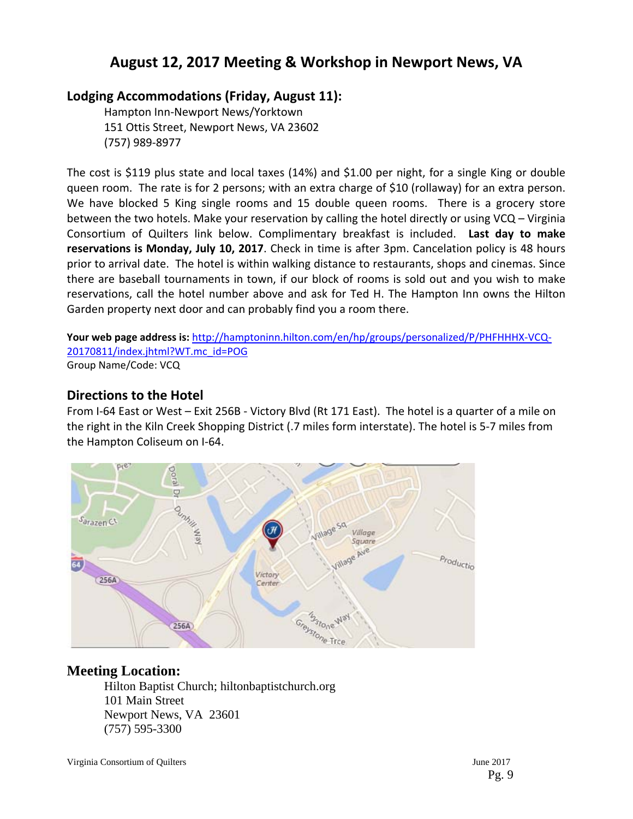## **August 12, 2017 Meeting & Workshop in Newport News, VA**

## **Lodging Accommodations (Friday, August 11):**

Hampton Inn‐Newport News/Yorktown 151 Ottis Street, Newport News, VA 23602 (757) 989‐8977

The cost is \$119 plus state and local taxes (14%) and \$1.00 per night, for a single King or double queen room. The rate is for 2 persons; with an extra charge of \$10 (rollaway) for an extra person. We have blocked 5 King single rooms and 15 double queen rooms. There is a grocery store between the two hotels. Make your reservation by calling the hotel directly or using VCQ – Virginia Consortium of Quilters link below. Complimentary breakfast is included. **Last day to make reservations is Monday, July 10, 2017**. Check in time is after 3pm. Cancelation policy is 48 hours prior to arrival date. The hotel is within walking distance to restaurants, shops and cinemas. Since there are baseball tournaments in town, if our block of rooms is sold out and you wish to make reservations, call the hotel number above and ask for Ted H. The Hampton Inn owns the Hilton Garden property next door and can probably find you a room there.

**Your web page address is:** http://hamptoninn.hilton.com/en/hp/groups/personalized/P/PHFHHHX‐VCQ‐ 20170811/index.jhtml?WT.mc\_id=POG Group Name/Code: VCQ

## **Directions to the Hotel**

From I-64 East or West – Exit 256B - Victory Blvd (Rt 171 East). The hotel is a quarter of a mile on the right in the Kiln Creek Shopping District (.7 miles form interstate). The hotel is 5‐7 miles from the Hampton Coliseum on I‐64.



## **Meeting Location:**

Hilton Baptist Church; hiltonbaptistchurch.org 101 Main Street Newport News, VA 23601 (757) 595-3300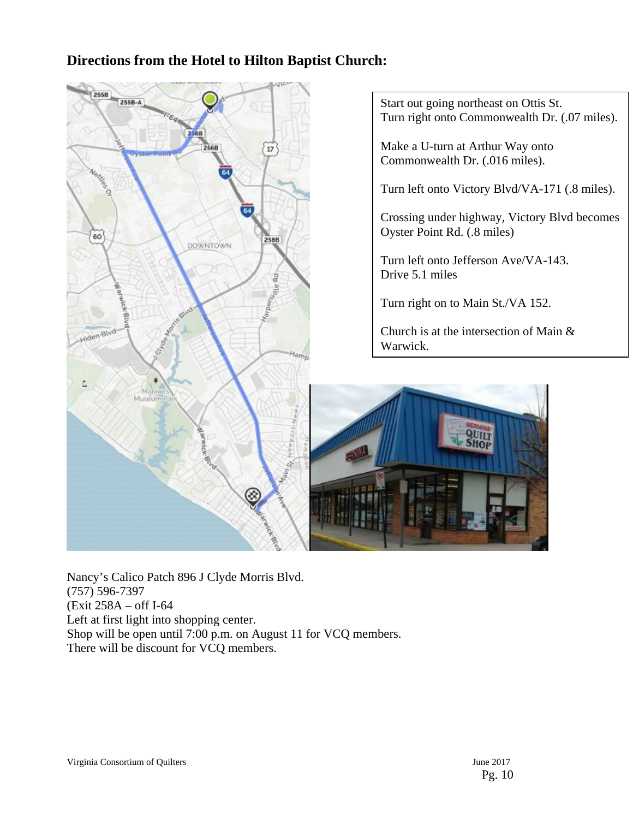## **Directions from the Hotel to Hilton Baptist Church:**



Nancy's Calico Patch 896 J Clyde Morris Blvd. (757) 596-7397 (Exit 258A – off I-64 Left at first light into shopping center. Shop will be open until 7:00 p.m. on August 11 for VCQ members. There will be discount for VCQ members.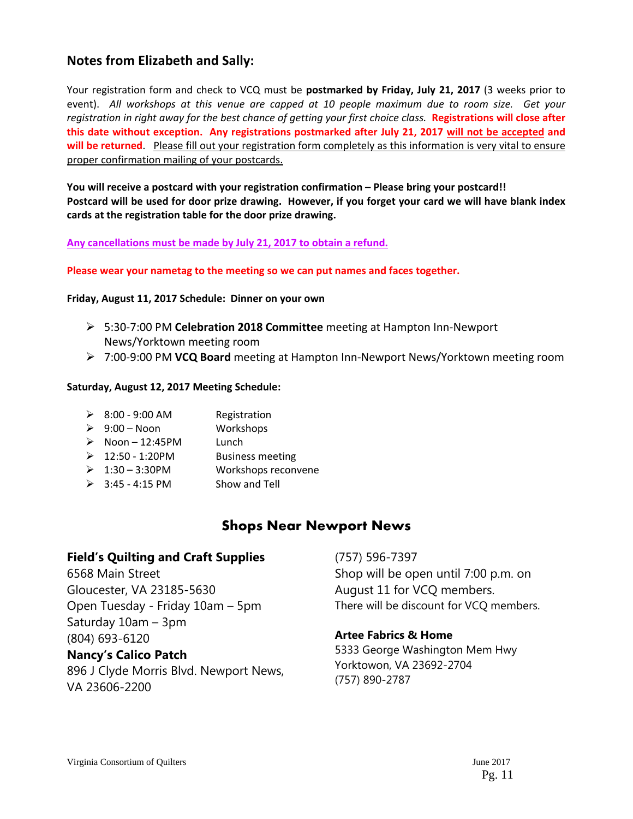## **Notes from Elizabeth and Sally:**

Your registration form and check to VCQ must be **postmarked by Friday, July 21, 2017** (3 weeks prior to event). All workshops at this venue are capped at 10 people maximum due to room size. Get your registration in right away for the best chance of getting your first choice class. Registrations will close after **this date without exception. Any registrations postmarked after July 21, 2017 will not be accepted and will be returned**. Please fill out your registration form completely as this information is very vital to ensure proper confirmation mailing of your postcards.

**You will receive a postcard with your registration confirmation – Please bring your postcard!!**  Postcard will be used for door prize drawing. However, if you forget your card we will have blank index **cards at the registration table for the door prize drawing.**

#### **Any cancellations must be made by July 21, 2017 to obtain a refund.**

#### **Please wear your nametag to the meeting so we can put names and faces together.**

#### **Friday, August 11, 2017 Schedule: Dinner on your own**

- 5:30‐7:00 PM **Celebration 2018 Committee** meeting at Hampton Inn‐Newport News/Yorktown meeting room
- 7:00‐9:00 PM **VCQ Board** meeting at Hampton Inn‐Newport News/Yorktown meeting room

#### **Saturday, August 12, 2017 Meeting Schedule:**

| $\triangleright$ 8:00 - 9:00 AM | Registration            |
|---------------------------------|-------------------------|
| $\triangleright$ 9:00 - Noon    | Workshops               |
| $\triangleright$ Noon - 12:45PM | Lunch                   |
| $\triangleright$ 12:50 - 1:20PM | <b>Business meeting</b> |
| $\geq 1:30 - 3:30$ PM           | Workshops reconvene     |
| $\geq$ 3:45 - 4:15 PM           | Show and Tell           |

## **Shops Near Newport News**

#### **Field's Quilting and Craft Supplies**

6568 Main Street Gloucester, VA 23185-5630 Open Tuesday - Friday 10am – 5pm Saturday 10am – 3pm (804) 693-6120

#### **Nancy's Calico Patch**

896 J Clyde Morris Blvd. Newport News, VA 23606-2200

(757) 596-7397 Shop will be open until 7:00 p.m. on August 11 for VCQ members. There will be discount for VCQ members.

#### **Artee Fabrics & Home**

5333 George Washington Mem Hwy Yorktowon, VA 23692-2704 (757) 890-2787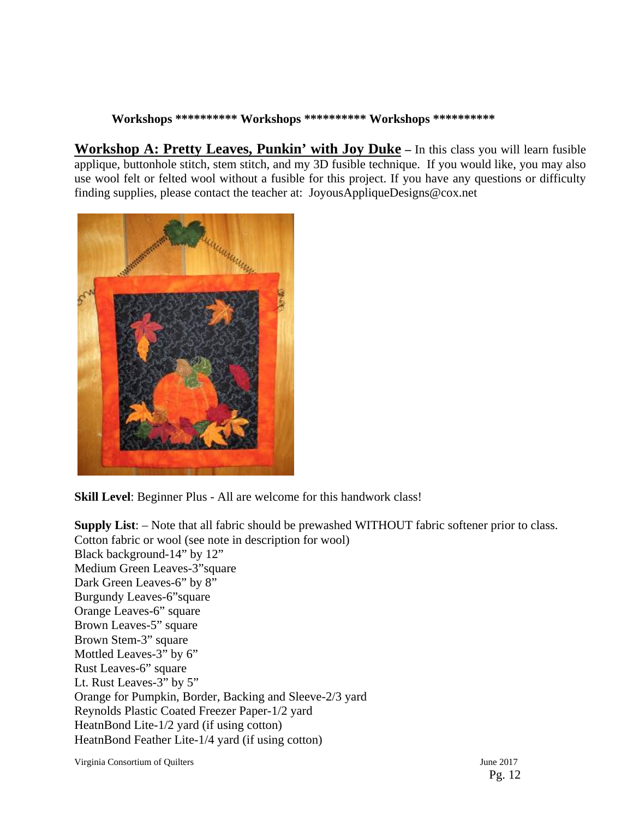#### **Workshops \*\*\*\*\*\*\*\*\*\* Workshops \*\*\*\*\*\*\*\*\*\* Workshops \*\*\*\*\*\*\*\*\*\***

**Workshop A: Pretty Leaves, Punkin' with Joy Duke** – In this class you will learn fusible applique, buttonhole stitch, stem stitch, and my 3D fusible technique. If you would like, you may also use wool felt or felted wool without a fusible for this project. If you have any questions or difficulty finding supplies, please contact the teacher at: JoyousAppliqueDesigns@cox.net



**Skill Level**: Beginner Plus - All are welcome for this handwork class!

**Supply List**: – Note that all fabric should be prewashed WITHOUT fabric softener prior to class. Cotton fabric or wool (see note in description for wool) Black background-14" by 12" Medium Green Leaves-3"square Dark Green Leaves-6" by 8" Burgundy Leaves-6"square Orange Leaves-6" square Brown Leaves-5" square Brown Stem-3" square Mottled Leaves-3" by 6" Rust Leaves-6" square Lt. Rust Leaves-3" by 5" Orange for Pumpkin, Border, Backing and Sleeve-2/3 yard Reynolds Plastic Coated Freezer Paper-1/2 yard HeatnBond Lite-1/2 yard (if using cotton) HeatnBond Feather Lite-1/4 yard (if using cotton)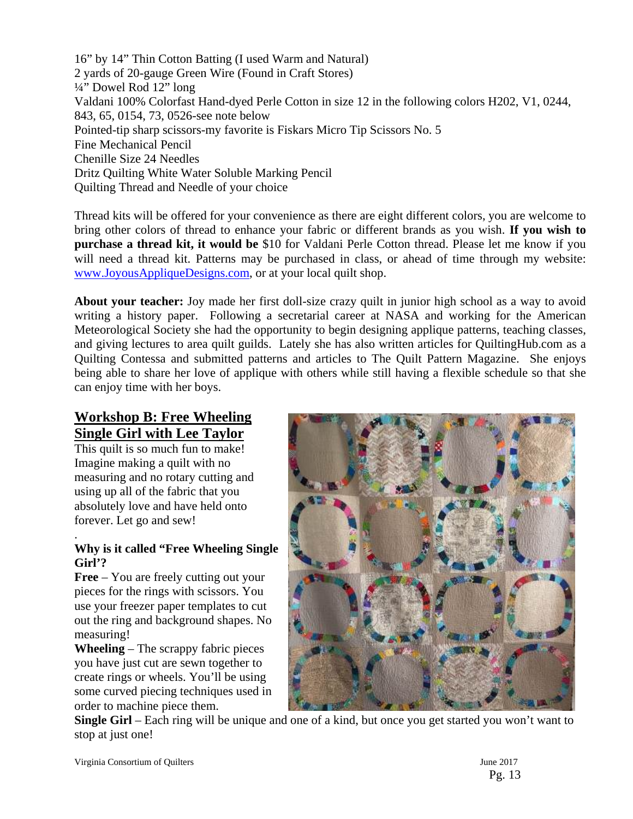16" by 14" Thin Cotton Batting (I used Warm and Natural) 2 yards of 20-gauge Green Wire (Found in Craft Stores) ¼" Dowel Rod 12" long Valdani 100% Colorfast Hand-dyed Perle Cotton in size 12 in the following colors H202, V1, 0244, 843, 65, 0154, 73, 0526-see note below Pointed-tip sharp scissors-my favorite is Fiskars Micro Tip Scissors No. 5 Fine Mechanical Pencil Chenille Size 24 Needles Dritz Quilting White Water Soluble Marking Pencil Quilting Thread and Needle of your choice

Thread kits will be offered for your convenience as there are eight different colors, you are welcome to bring other colors of thread to enhance your fabric or different brands as you wish. **If you wish to purchase a thread kit, it would be** \$10 for Valdani Perle Cotton thread. Please let me know if you will need a thread kit. Patterns may be purchased in class, or ahead of time through my website: www.JoyousAppliqueDesigns.com, or at your local quilt shop.

**About your teacher:** Joy made her first doll-size crazy quilt in junior high school as a way to avoid writing a history paper. Following a secretarial career at NASA and working for the American Meteorological Society she had the opportunity to begin designing applique patterns, teaching classes, and giving lectures to area quilt guilds. Lately she has also written articles for QuiltingHub.com as a Quilting Contessa and submitted patterns and articles to The Quilt Pattern Magazine. She enjoys being able to share her love of applique with others while still having a flexible schedule so that she can enjoy time with her boys.

## **Workshop B: Free Wheeling Single Girl with Lee Taylor**

This quilt is so much fun to make! Imagine making a quilt with no measuring and no rotary cutting and using up all of the fabric that you absolutely love and have held onto forever. Let go and sew!

#### . **Why is it called "Free Wheeling Single Girl'?**

**Free** – You are freely cutting out your pieces for the rings with scissors. You use your freezer paper templates to cut out the ring and background shapes. No measuring!

**Wheeling** – The scrappy fabric pieces you have just cut are sewn together to create rings or wheels. You'll be using some curved piecing techniques used in order to machine piece them.



**Single Girl** – Each ring will be unique and one of a kind, but once you get started you won't want to stop at just one!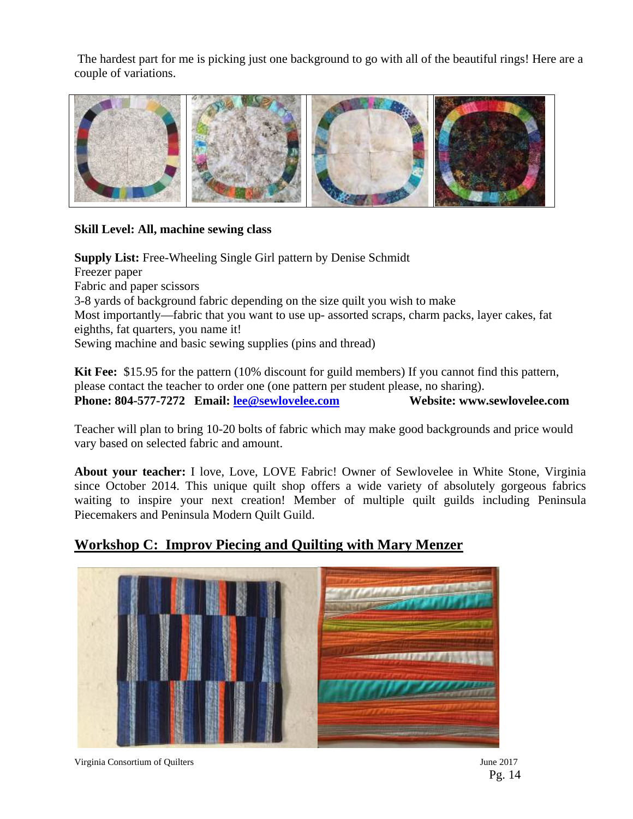The hardest part for me is picking just one background to go with all of the beautiful rings! Here are a couple of variations.



#### **Skill Level: All, machine sewing class**

**Supply List:** Free-Wheeling Single Girl pattern by Denise Schmidt Freezer paper Fabric and paper scissors 3-8 yards of background fabric depending on the size quilt you wish to make Most importantly—fabric that you want to use up- assorted scraps, charm packs, layer cakes, fat eighths, fat quarters, you name it! Sewing machine and basic sewing supplies (pins and thread)

**Kit Fee:** \$15.95 for the pattern (10% discount for guild members) If you cannot find this pattern, please contact the teacher to order one (one pattern per student please, no sharing). Phone: 804-577-7272 Email: lee@sewlovelee.com Website: www.sewlovelee.com

Teacher will plan to bring 10-20 bolts of fabric which may make good backgrounds and price would vary based on selected fabric and amount.

**About your teacher:** I love, Love, LOVE Fabric! Owner of Sewlovelee in White Stone, Virginia since October 2014. This unique quilt shop offers a wide variety of absolutely gorgeous fabrics waiting to inspire your next creation! Member of multiple quilt guilds including Peninsula Piecemakers and Peninsula Modern Quilt Guild.

## **Workshop C: Improv Piecing and Quilting with Mary Menzer**

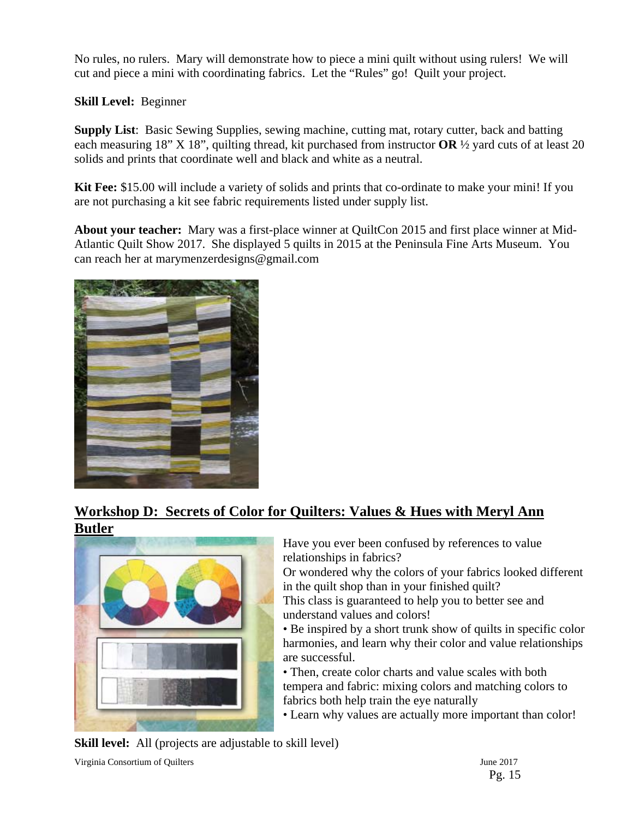No rules, no rulers. Mary will demonstrate how to piece a mini quilt without using rulers! We will cut and piece a mini with coordinating fabrics. Let the "Rules" go! Quilt your project.

**Skill Level:** Beginner

**Supply List**: Basic Sewing Supplies, sewing machine, cutting mat, rotary cutter, back and batting each measuring 18" X 18", quilting thread, kit purchased from instructor **OR** ½ yard cuts of at least 20 solids and prints that coordinate well and black and white as a neutral.

**Kit Fee:** \$15.00 will include a variety of solids and prints that co-ordinate to make your mini! If you are not purchasing a kit see fabric requirements listed under supply list.

**About your teacher:** Mary was a first-place winner at QuiltCon 2015 and first place winner at Mid-Atlantic Quilt Show 2017. She displayed 5 quilts in 2015 at the Peninsula Fine Arts Museum. You can reach her at marymenzerdesigns@gmail.com



## **Workshop D: Secrets of Color for Quilters: Values & Hues with Meryl Ann Butler**



Have you ever been confused by references to value relationships in fabrics?

Or wondered why the colors of your fabrics looked different in the quilt shop than in your finished quilt?

This class is guaranteed to help you to better see and understand values and colors!

• Be inspired by a short trunk show of quilts in specific color harmonies, and learn why their color and value relationships are successful.

• Then, create color charts and value scales with both tempera and fabric: mixing colors and matching colors to fabrics both help train the eye naturally

• Learn why values are actually more important than color!

**Skill level:** All (projects are adjustable to skill level)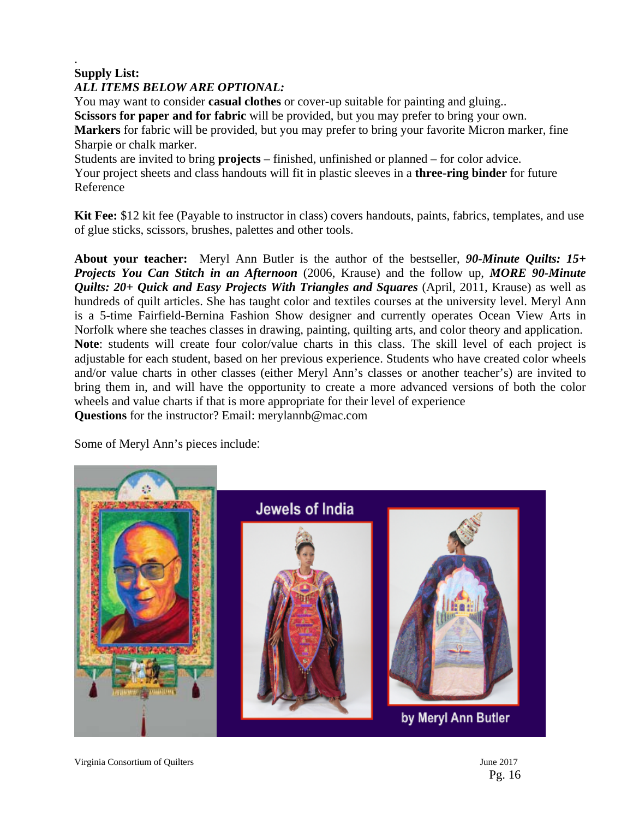## . **Supply List:**

## *ALL ITEMS BELOW ARE OPTIONAL:*

You may want to consider **casual clothes** or cover-up suitable for painting and gluing.. **Scissors for paper and for fabric** will be provided, but you may prefer to bring your own. **Markers** for fabric will be provided, but you may prefer to bring your favorite Micron marker, fine Sharpie or chalk marker.

Students are invited to bring **projects** – finished, unfinished or planned – for color advice. Your project sheets and class handouts will fit in plastic sleeves in a **three-ring binder** for future Reference

**Kit Fee:** \$12 kit fee (Payable to instructor in class) covers handouts, paints, fabrics, templates, and use of glue sticks, scissors, brushes, palettes and other tools.

**About your teacher:** Meryl Ann Butler is the author of the bestseller, *90-Minute Quilts: 15+ Projects You Can Stitch in an Afternoon* (2006, Krause) and the follow up, *MORE 90-Minute Quilts: 20+ Quick and Easy Projects With Triangles and Squares (April, 2011, Krause)* as well as hundreds of quilt articles. She has taught color and textiles courses at the university level. Meryl Ann is a 5-time Fairfield-Bernina Fashion Show designer and currently operates Ocean View Arts in Norfolk where she teaches classes in drawing, painting, quilting arts, and color theory and application. **Note**: students will create four color/value charts in this class. The skill level of each project is adjustable for each student, based on her previous experience. Students who have created color wheels and/or value charts in other classes (either Meryl Ann's classes or another teacher's) are invited to bring them in, and will have the opportunity to create a more advanced versions of both the color wheels and value charts if that is more appropriate for their level of experience **Questions** for the instructor? Email: merylannb@mac.com

Some of Meryl Ann's pieces include:

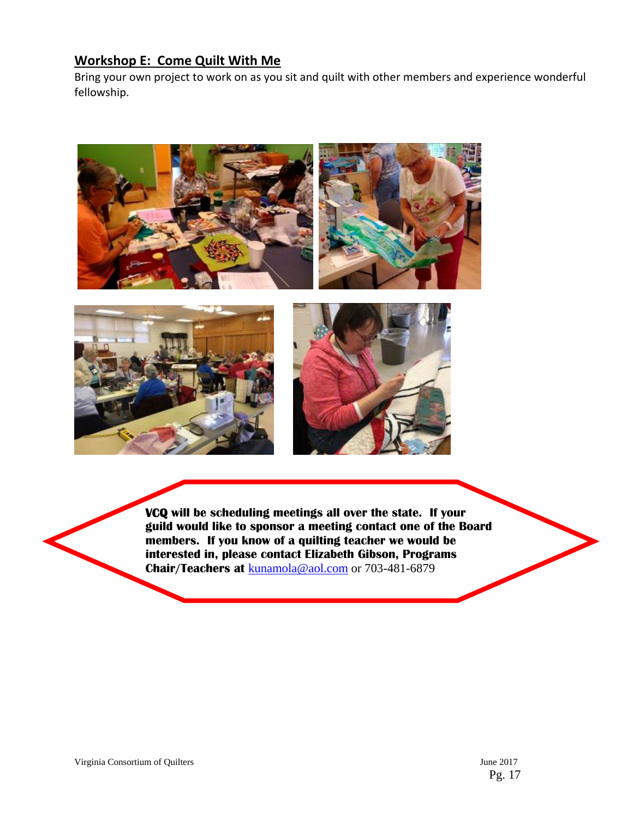## **Workshop E: Come Quilt With Me**

Bring your own project to work on as you sit and quilt with other members and experience wonderful fellowship.







*<u><b>*</u> **VCQ will be scheduling meetings all over the state. If your guild would like to sponsor a meeting contact one of the Board members. If you know of a quilting teacher we would be interested in, please contact Elizabeth Gibson, Programs Chair/Teachers at** kunamola@aol.com or 703-481-6879

l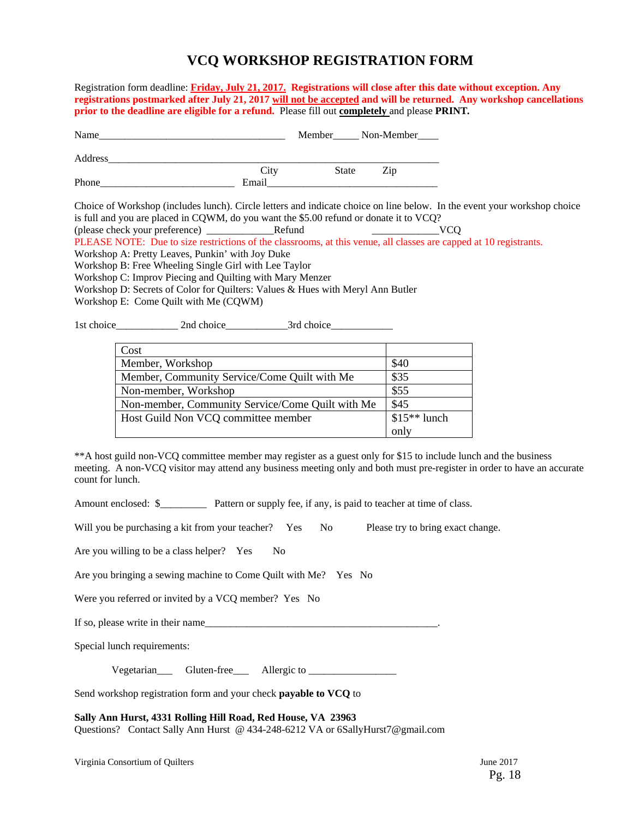## **VCQ WORKSHOP REGISTRATION FORM**

Registration form deadline: **Friday, July 21, 2017.****Registrations will close after this date without exception. Any registrations postmarked after July 21, 2017 will not be accepted and will be returned. Any workshop cancellations prior to the deadline are eligible for a refund.** Please fill out **completely** and please **PRINT***.* 

| Name    |       |              | Member_______ Non-Member____ |
|---------|-------|--------------|------------------------------|
| Address |       |              |                              |
|         | City  | <b>State</b> | Zip                          |
| Phone   | Email |              |                              |

Choice of Workshop (includes lunch). Circle letters and indicate choice on line below. In the event your workshop choice is full and you are placed in CQWM, do you want the \$5.00 refund or donate it to VCQ?

(please check your preference) \_\_\_\_\_\_\_\_\_\_\_\_\_Refund \_\_\_\_\_\_\_\_\_\_\_\_\_VCQ

PLEASE NOTE: Due to size restrictions of the classrooms, at this venue, all classes are capped at 10 registrants.

Workshop A: Pretty Leaves, Punkin' with Joy Duke

Workshop B: Free Wheeling Single Girl with Lee Taylor

Workshop C: Improv Piecing and Quilting with Mary Menzer

Workshop D: Secrets of Color for Quilters: Values & Hues with Meryl Ann Butler

Workshop E: Come Quilt with Me (CQWM)

1st choice\_\_\_\_\_\_\_\_\_\_\_\_ 2nd choice\_\_\_\_\_\_\_\_\_\_\_\_3rd choice\_\_\_\_\_\_\_\_\_\_\_\_

| Cost                                             |               |
|--------------------------------------------------|---------------|
| Member, Workshop                                 | \$40          |
| Member, Community Service/Come Quilt with Me     | \$35          |
| Non-member, Workshop                             | \$55          |
| Non-member, Community Service/Come Quilt with Me | \$45          |
| Host Guild Non VCQ committee member              | $$15**$ lunch |
|                                                  | only          |

\*\*A host guild non-VCQ committee member may register as a guest only for \$15 to include lunch and the business meeting. A non-VCQ visitor may attend any business meeting only and both must pre-register in order to have an accurate count for lunch.

Amount enclosed: \$\_\_\_\_\_\_\_\_\_ Pattern or supply fee, if any, is paid to teacher at time of class.

Will you be purchasing a kit from your teacher? Yes No Please try to bring exact change.

Are you willing to be a class helper? Yes No

Are you bringing a sewing machine to Come Quilt with Me? Yes No

Were you referred or invited by a VCO member? Yes No

If so, please write in their name

Special lunch requirements:

Vegetarian Gluten-free Allergic to

Send workshop registration form and your check **payable to VCQ** to

**Sally Ann Hurst, 4331 Rolling Hill Road, Red House, VA 23963**  Questions? Contact Sally Ann Hurst @ 434-248-6212 VA or 6SallyHurst7@gmail.com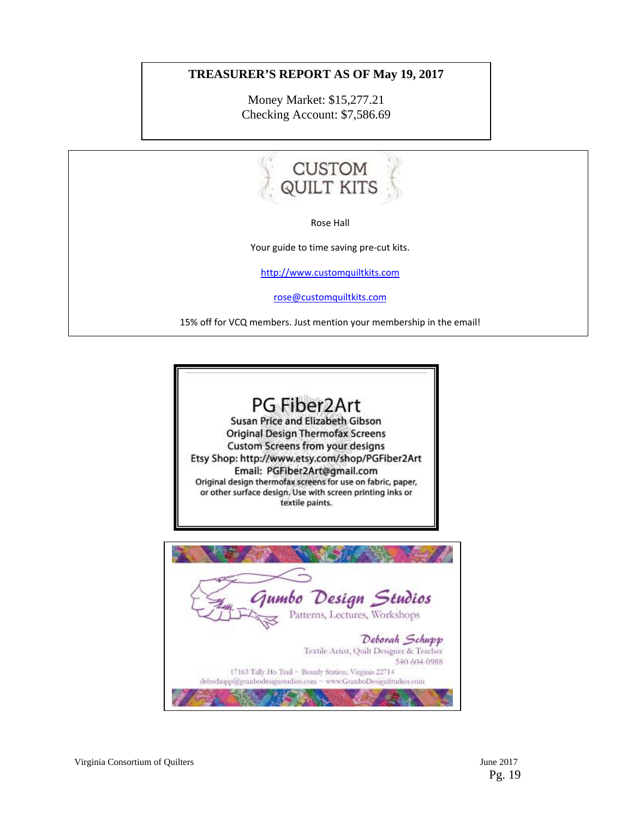#### **TREASURER'S REPORT AS OF May 19, 2017**

Money Market: \$15,277.21 Checking Account: \$7,586.69



Rose Hall

Your guide to time saving pre-cut kits.

http://www.customquiltkits.com

rose@customquiltkits.com

15% off for VCQ members. Just mention your membership in the email!

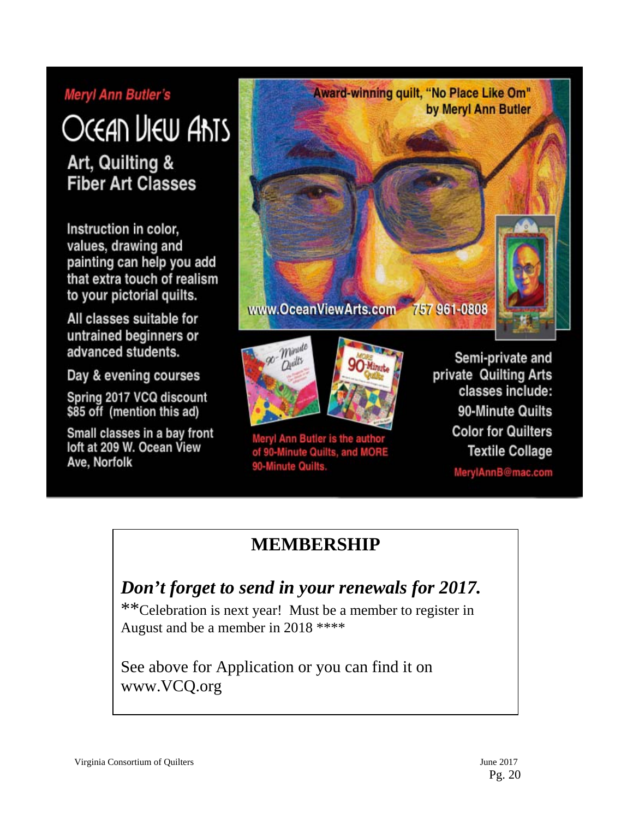## **Meryl Ann Butler's**

# Ocean Liew Ants

Art, Quilting & **Fiber Art Classes** 

Instruction in color, values, drawing and painting can help you add that extra touch of realism to your pictorial quilts.

All classes suitable for untrained beginners or advanced students.

Day & evening courses

Spring 2017 VCQ discount \$85 off (mention this ad)

Small classes in a bay front loft at 209 W. Ocean View Ave, Norfolk







Meryl Ann Butler is the author of 90-Minute Quilts, and MORE 90-Minute Quilts.

Semi-private and private Quilting Arts classes include: 90-Minute Quilts **Color for Quilters Textile Collage** 

MerylAnnB@mac.com

# **MEMBERSHIP**

# *Don't forget to send in your renewals for 2017.*

\*\*Celebration is next year! Must be a member to register in August and be a member in 2018 \*\*\*\*

See above for Application or you can find it on www.VCQ.org